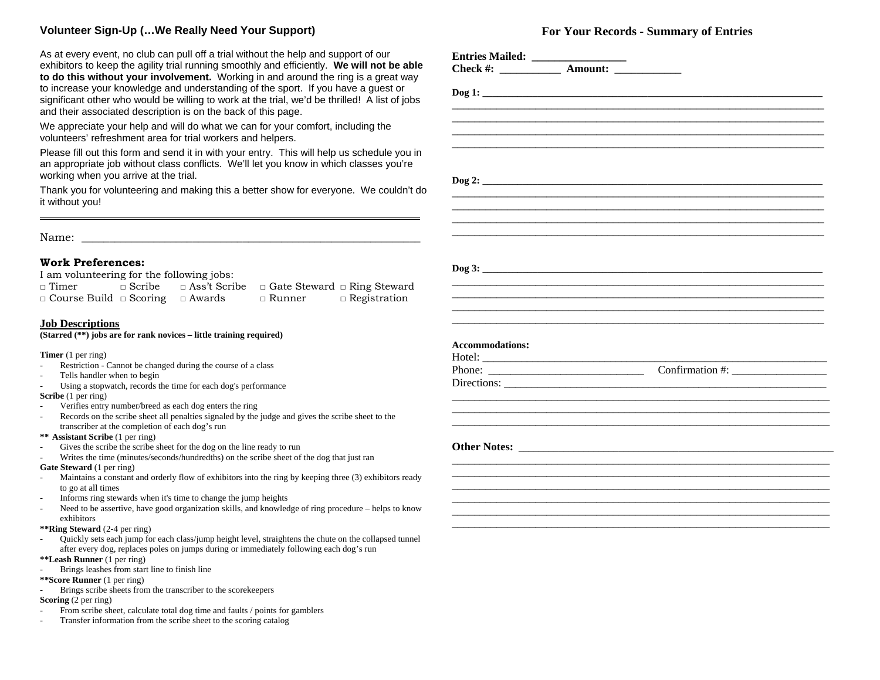## **Volunteer Sign-Up (…We Really Need Your Support)**

As at every event, no club can pull off a trial without the help and support of our exhibitors to keep the agility trial running smoothly and efficiently. **We will not be able to do this without your involvement.** Working in and around the ring is a great way to increase your knowledge and understanding of the sport. If you have a guest or significant other who would be willing to work at the trial, we'd be thrilled! A list of jobs and their associated description is on the back of this page.

We appreciate your help and will do what we can for your comfort, including the volunteers' refreshment area for trial workers and helpers.

Please fill out this form and send it in with your entry. This will help us schedule you in an appropriate job without class conflicts. We'll let you know in which classes you're working when you arrive at the trial.

Thank you for volunteering and making this a better show for everyone. We couldn't do it without you!

Name:

## **Work Preferences:**

I am volunteering for the following jobs:<br>  $\Box$  Timer  $\Box$  Scribe  $\Box$  Ass't Scri

□ Timer □ Scribe □ Ass't Scribe □ Gate Steward □ Ring Steward □ Course Build □ Scoring □ Awards □ Runner □ Registration

## **Job Descriptions**

**(Starred (\*\*) jobs are for rank novices – little training required)** 

**Timer** (1 per ring)

- Restriction Cannot be changed during the course of a class
- Tells handler when to begin
- Using a stopwatch, records the time for each dog's performance

## **Scribe** (1 per ring)

- Verifies entry number/breed as each dog enters the ring
- Records on the scribe sheet all penalties signaled by the judge and gives the scribe sheet to the transcriber at the completion of each dog's run

**\*\* Assistant Scribe** (1 per ring)

- Gives the scribe the scribe sheet for the dog on the line ready to run
- Writes the time (minutes/seconds/hundredths) on the scribe sheet of the dog that just ran
- **Gate Steward** (1 per ring)
- Maintains a constant and orderly flow of exhibitors into the ring by keeping three (3) exhibitors ready to go at all times
- Informs ring stewards when it's time to change the jump heights
- Need to be assertive, have good organization skills, and knowledge of ring procedure helps to know exhibitors
- **\*\*Ring Steward** (2-4 per ring)
- Quickly sets each jump for each class/jump height level, straightens the chute on the collapsed tunnel after every dog, replaces poles on jumps during or immediately following each dog's run
- **\*\*Leash Runner** (1 per ring)
- Brings leashes from start line to finish line
- **\*\*Score Runner** (1 per ring)
- Brings scribe sheets from the transcriber to the scorekeepers

## **Scoring** (2 per ring)

- From scribe sheet, calculate total dog time and faults / points for gamblers
- Transfer information from the scribe sheet to the scoring catalog

# **For Your Records - Summary of Entries**

| <b>Accommodations:</b> |  |  |
|------------------------|--|--|
|                        |  |  |
|                        |  |  |
|                        |  |  |
|                        |  |  |
|                        |  |  |
|                        |  |  |
|                        |  |  |
|                        |  |  |
|                        |  |  |
|                        |  |  |
|                        |  |  |
|                        |  |  |
|                        |  |  |
|                        |  |  |
|                        |  |  |
|                        |  |  |